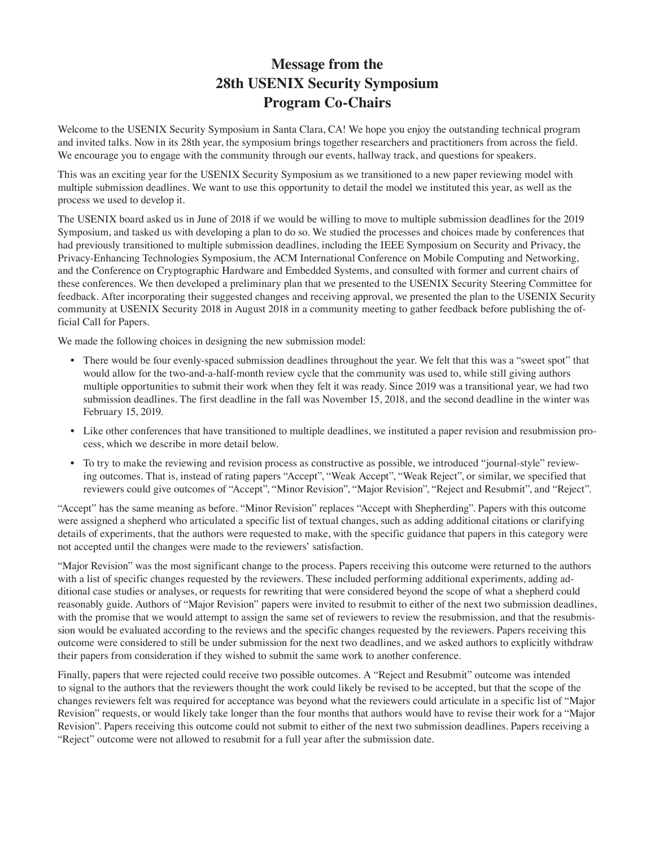## **Message from the 28th USENIX Security Symposium Program Co-Chairs**

Welcome to the USENIX Security Symposium in Santa Clara, CA! We hope you enjoy the outstanding technical program and invited talks. Now in its 28th year, the symposium brings together researchers and practitioners from across the field. We encourage you to engage with the community through our events, hallway track, and questions for speakers.

This was an exciting year for the USENIX Security Symposium as we transitioned to a new paper reviewing model with multiple submission deadlines. We want to use this opportunity to detail the model we instituted this year, as well as the process we used to develop it.

The USENIX board asked us in June of 2018 if we would be willing to move to multiple submission deadlines for the 2019 Symposium, and tasked us with developing a plan to do so. We studied the processes and choices made by conferences that had previously transitioned to multiple submission deadlines, including the IEEE Symposium on Security and Privacy, the Privacy-Enhancing Technologies Symposium, the ACM International Conference on Mobile Computing and Networking, and the Conference on Cryptographic Hardware and Embedded Systems, and consulted with former and current chairs of these conferences. We then developed a preliminary plan that we presented to the USENIX Security Steering Committee for feedback. After incorporating their suggested changes and receiving approval, we presented the plan to the USENIX Security community at USENIX Security 2018 in August 2018 in a community meeting to gather feedback before publishing the official Call for Papers.

We made the following choices in designing the new submission model:

- There would be four evenly-spaced submission deadlines throughout the year. We felt that this was a "sweet spot" that would allow for the two-and-a-half-month review cycle that the community was used to, while still giving authors multiple opportunities to submit their work when they felt it was ready. Since 2019 was a transitional year, we had two submission deadlines. The first deadline in the fall was November 15, 2018, and the second deadline in the winter was February 15, 2019.
- Like other conferences that have transitioned to multiple deadlines, we instituted a paper revision and resubmission process, which we describe in more detail below.
- To try to make the reviewing and revision process as constructive as possible, we introduced "journal-style" reviewing outcomes. That is, instead of rating papers "Accept", "Weak Accept", "Weak Reject", or similar, we specified that reviewers could give outcomes of "Accept", "Minor Revision", "Major Revision", "Reject and Resubmit", and "Reject".

"Accept" has the same meaning as before. "Minor Revision" replaces "Accept with Shepherding". Papers with this outcome were assigned a shepherd who articulated a specific list of textual changes, such as adding additional citations or clarifying details of experiments, that the authors were requested to make, with the specific guidance that papers in this category were not accepted until the changes were made to the reviewers' satisfaction.

"Major Revision" was the most significant change to the process. Papers receiving this outcome were returned to the authors with a list of specific changes requested by the reviewers. These included performing additional experiments, adding additional case studies or analyses, or requests for rewriting that were considered beyond the scope of what a shepherd could reasonably guide. Authors of "Major Revision" papers were invited to resubmit to either of the next two submission deadlines, with the promise that we would attempt to assign the same set of reviewers to review the resubmission, and that the resubmission would be evaluated according to the reviews and the specific changes requested by the reviewers. Papers receiving this outcome were considered to still be under submission for the next two deadlines, and we asked authors to explicitly withdraw their papers from consideration if they wished to submit the same work to another conference.

Finally, papers that were rejected could receive two possible outcomes. A "Reject and Resubmit" outcome was intended to signal to the authors that the reviewers thought the work could likely be revised to be accepted, but that the scope of the changes reviewers felt was required for acceptance was beyond what the reviewers could articulate in a specific list of "Major Revision" requests, or would likely take longer than the four months that authors would have to revise their work for a "Major Revision". Papers receiving this outcome could not submit to either of the next two submission deadlines. Papers receiving a "Reject" outcome were not allowed to resubmit for a full year after the submission date.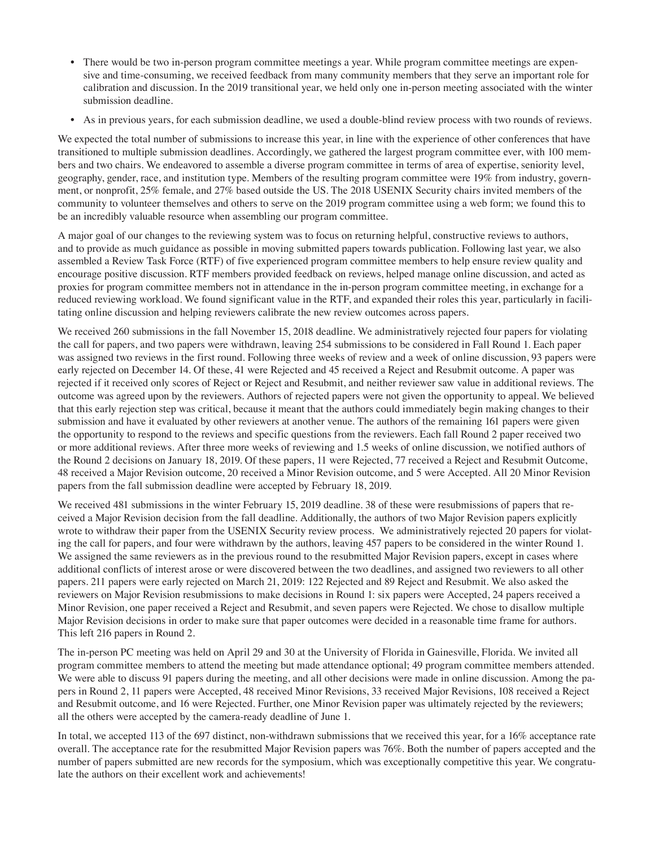- There would be two in-person program committee meetings a year. While program committee meetings are expensive and time-consuming, we received feedback from many community members that they serve an important role for calibration and discussion. In the 2019 transitional year, we held only one in-person meeting associated with the winter submission deadline.
- As in previous years, for each submission deadline, we used a double-blind review process with two rounds of reviews.

We expected the total number of submissions to increase this year, in line with the experience of other conferences that have transitioned to multiple submission deadlines. Accordingly, we gathered the largest program committee ever, with 100 members and two chairs. We endeavored to assemble a diverse program committee in terms of area of expertise, seniority level, geography, gender, race, and institution type. Members of the resulting program committee were 19% from industry, government, or nonprofit, 25% female, and 27% based outside the US. The 2018 USENIX Security chairs invited members of the community to volunteer themselves and others to serve on the 2019 program committee using a web form; we found this to be an incredibly valuable resource when assembling our program committee.

A major goal of our changes to the reviewing system was to focus on returning helpful, constructive reviews to authors, and to provide as much guidance as possible in moving submitted papers towards publication. Following last year, we also assembled a Review Task Force (RTF) of five experienced program committee members to help ensure review quality and encourage positive discussion. RTF members provided feedback on reviews, helped manage online discussion, and acted as proxies for program committee members not in attendance in the in-person program committee meeting, in exchange for a reduced reviewing workload. We found significant value in the RTF, and expanded their roles this year, particularly in facilitating online discussion and helping reviewers calibrate the new review outcomes across papers.

We received 260 submissions in the fall November 15, 2018 deadline. We administratively rejected four papers for violating the call for papers, and two papers were withdrawn, leaving 254 submissions to be considered in Fall Round 1. Each paper was assigned two reviews in the first round. Following three weeks of review and a week of online discussion, 93 papers were early rejected on December 14. Of these, 41 were Rejected and 45 received a Reject and Resubmit outcome. A paper was rejected if it received only scores of Reject or Reject and Resubmit, and neither reviewer saw value in additional reviews. The outcome was agreed upon by the reviewers. Authors of rejected papers were not given the opportunity to appeal. We believed that this early rejection step was critical, because it meant that the authors could immediately begin making changes to their submission and have it evaluated by other reviewers at another venue. The authors of the remaining 161 papers were given the opportunity to respond to the reviews and specific questions from the reviewers. Each fall Round 2 paper received two or more additional reviews. After three more weeks of reviewing and 1.5 weeks of online discussion, we notified authors of the Round 2 decisions on January 18, 2019. Of these papers, 11 were Rejected, 77 received a Reject and Resubmit Outcome, 48 received a Major Revision outcome, 20 received a Minor Revision outcome, and 5 were Accepted. All 20 Minor Revision papers from the fall submission deadline were accepted by February 18, 2019.

We received 481 submissions in the winter February 15, 2019 deadline. 38 of these were resubmissions of papers that received a Major Revision decision from the fall deadline. Additionally, the authors of two Major Revision papers explicitly wrote to withdraw their paper from the USENIX Security review process. We administratively rejected 20 papers for violating the call for papers, and four were withdrawn by the authors, leaving 457 papers to be considered in the winter Round 1. We assigned the same reviewers as in the previous round to the resubmitted Major Revision papers, except in cases where additional conflicts of interest arose or were discovered between the two deadlines, and assigned two reviewers to all other papers. 211 papers were early rejected on March 21, 2019: 122 Rejected and 89 Reject and Resubmit. We also asked the reviewers on Major Revision resubmissions to make decisions in Round 1: six papers were Accepted, 24 papers received a Minor Revision, one paper received a Reject and Resubmit, and seven papers were Rejected. We chose to disallow multiple Major Revision decisions in order to make sure that paper outcomes were decided in a reasonable time frame for authors. This left 216 papers in Round 2.

The in-person PC meeting was held on April 29 and 30 at the University of Florida in Gainesville, Florida. We invited all program committee members to attend the meeting but made attendance optional; 49 program committee members attended. We were able to discuss 91 papers during the meeting, and all other decisions were made in online discussion. Among the papers in Round 2, 11 papers were Accepted, 48 received Minor Revisions, 33 received Major Revisions, 108 received a Reject and Resubmit outcome, and 16 were Rejected. Further, one Minor Revision paper was ultimately rejected by the reviewers; all the others were accepted by the camera-ready deadline of June 1.

In total, we accepted 113 of the 697 distinct, non-withdrawn submissions that we received this year, for a 16% acceptance rate overall. The acceptance rate for the resubmitted Major Revision papers was 76%. Both the number of papers accepted and the number of papers submitted are new records for the symposium, which was exceptionally competitive this year. We congratulate the authors on their excellent work and achievements!